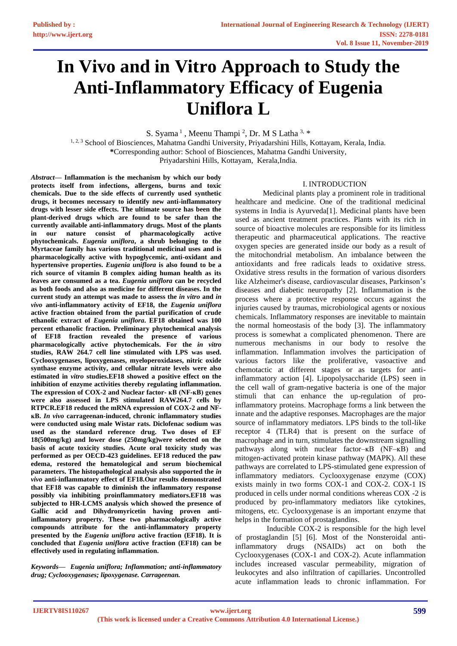# **In Vivo and in Vitro Approach to Study the Anti-Inflammatory Efficacy of Eugenia Uniflora L**

S. Syama<sup>1</sup>, Meenu Thampi<sup>2</sup>, Dr. M S Latha<sup>3, \*</sup>

<sup>1, 2, 3</sup> School of Biosciences, Mahatma Gandhi University, Priyadarshini Hills, Kottayam, Kerala, India. **\***Corresponding author: School of Biosciences, Mahatma Gandhi University, Priyadarshini Hills, Kottayam, Kerala,India.

*Abstract***— Inflammation is the mechanism by which our body protects itself from infections, allergens, burns and toxic chemicals. Due to the side effects of currently used synthetic drugs, it becomes necessary to identify new anti-inflammatory drugs with lesser side effects. The ultimate source has been the plant-derived drugs which are found to be safer than the currently available anti-inflammatory drugs. Most of the plants in our nature consist of pharmacologically active phytochemicals.** *Eugenia uniflora***, a shrub belonging to the Myrtaceae family has various traditional medicinal uses and is pharmacologically active with hypoglycemic, anti-oxidant and hypertensive properties.** *Eugenia uniflora* **is also found to be a rich source of vitamin B complex aiding human health as its leaves are consumed as a tea.** *Eugenia uniflora* **can be recycled as both foods and also as medicine for different diseases. In the current study an attempt was made to assess the** *in vitro* **and** *in vivo* **anti-inflammatory activity of EF18, the** *Eugenia uniflora* **active fraction obtained from the partial purification of crude ethanolic extract of** *Eugenia uniflora***. EF18 obtained was 100 percent ethanolic fraction. Preliminary phytochemical analysis of EF18 fraction revealed the presence of various pharmacologically active phytochemicals. For the** *in vitro* **studies, RAW 264.7 cell line stimulated with LPS was used. Cyclooxygenases, lipoxygenases, myeloperoxidases, nitric oxide synthase enzyme activity, and cellular nitrate levels were also estimated in** *vitro* **studies.EF18 showed a positive effect on the inhibition of enzyme activities thereby regulating inflammation. The expression of COX-2 and Nuclear factor- ĸB (NF-ĸB) genes were also assessed in LPS stimulated RAW264.7 cells by RTPCR.EF18 reduced the mRNA expression of COX-2 and NFĸB.** *In vivo* **carrageenan-induced, chronic inflammatory studies were conducted using male Wistar rats. Diclofenac sodium was used as the standard reference drug. Two doses of EF 18(500mg/kg) and lower dose (250mg/kg)were selected on the basis of acute toxicity studies. Acute oral toxicity study was performed as per OECD-423 guidelines. EF18 reduced the paw edema, restored the hematological and serum biochemical parameters. The histopathological analysis also supported the** *in vivo* **anti-inflammatory effect of EF18.Our results demonstrated that EF18 was capable to diminish the inflammatory response possibly via inhibiting proinflammatory mediators.EF18 was subjected to HR-LCMS analysis which showed the presence of Gallic acid and Dihydromyricetin having proven antiinflammatory property. These two pharmacologically active compounds attribute for the anti-inflammatory property presented by the** *Eugenia uniflora* **active fraction (EF18). It is concluded that** *Eugenia uniflora* **active fraction (EF18) can be effectively used in regulating inflammation.** 

*Keywords— Eugenia uniflora; Inflammation; anti-inflammatory drug; Cyclooxygenases; lipoxygenase. Carrageenan.*

#### I. INTRODUCTION

Medicinal plants play a prominent role in traditional healthcare and medicine. One of the traditional medicinal systems in India is Ayurveda<sup>[1]</sup>. Medicinal plants have been used as ancient treatment practices. Plants with its rich in source of bioactive molecules are responsible for its limitless therapeutic and pharmaceutical applications. The reactive oxygen species are generated inside our body as a result of the mitochondrial metabolism. An imbalance between the antioxidants and free radicals leads to oxidative stress. Oxidative stress results in the formation of various disorders like Alzheimer's disease, cardiovascular diseases, Parkinson's diseases and diabetic neuropathy [2]. Inflammation is the process where a protective response occurs against the injuries caused by traumas, microbiological agents or noxious chemicals. Inflammatory responses are inevitable to maintain the normal homeostasis of the body [3]. The inflammatory process is somewhat a complicated phenomenon. There are numerous mechanisms in our body to resolve the inflammation. Inflammation involves the participation of various factors like the proliferative, vasoactive and chemotactic at different stages or as targets for antiinflammatory action [4]. Lipopolysaccharide (LPS) seen in the cell wall of gram-negative bacteria is one of the major stimuli that can enhance the up-regulation of proinflammatory proteins. Macrophage forms a link between the innate and the adaptive responses. Macrophages are the major source of inflammatory mediators. LPS binds to the toll-like receptor 4 (TLR4) that is present on the surface of macrophage and in turn, stimulates the downstream signalling pathways along with nuclear factor– $\kappa$ B (NF– $\kappa$ B) and mitogen-activated protein kinase pathway (MAPK). All these pathways are correlated to LPS-stimulated gene expression of inflammatory mediators. Cyclooxygenase enzyme (COX) exists mainly in two forms COX-1 and COX-2. COX-1 IS produced in cells under normal conditions whereas COX -2 is produced by pro-inflammatory mediators like cytokines, mitogens, etc. Cyclooxygenase is an important enzyme that helps in the formation of prostaglandins.

 Inducible COX-2 is responsible for the high level of prostaglandin [5] [6]. Most of the Nonsteroidal antiinflammatory drugs (NSAIDs) act on both the Cyclooxygenases (COX-1 and COX-2). Acute inflammation includes increased vascular permeability, migration of leukocytes and also infiltration of capillaries. Uncontrolled acute inflammation leads to chronic inflammation. For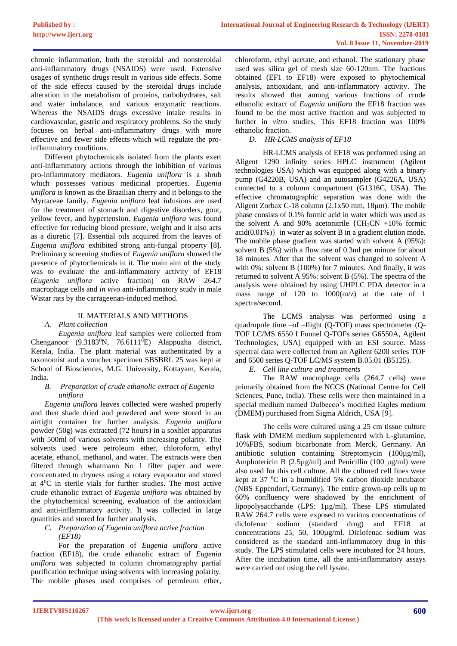chronic inflammation, both the steroidal and nonsteroidal anti-inflammatory drugs (NSAIDS) were used. Extensive usages of synthetic drugs result in various side effects. Some of the side effects caused by the steroidal drugs include alteration in the metabolism of proteins, carbohydrates, salt and water imbalance, and various enzymatic reactions. Whereas the NSAIDS drugs excessive intake results in cardiovascular, gastric and respiratory problems. So the study focuses on herbal anti-inflammatory drugs with more effective and fewer side effects which will regulate the proinflammatory conditions.

Different phytochemicals isolated from the plants exert anti-inflammatory actions through the inhibition of various pro-inflammatory mediators. *Eugenia uniflora* is a shrub which possesses various medicinal properties. *Eugenia uniflora* is known as the Brazilian cherry and it belongs to the Myrtaceae family. *Eugenia uniflora* leaf infusions are used for the treatment of stomach and digestive disorders, gout, yellow fever, and hypertension. *Eugenia uniflora* was found effective for reducing blood pressure, weight and it also acts as a diuretic [7]. Essential oils acquired from the leaves of *Eugenia uniflora* exhibited strong anti-fungal property [8]. Preliminary screening studies of *Eugenia uniflora* showed the presence of phytochemicals in it. The main aim of the study was to evaluate the anti-inflammatory activity of EF18 (*Eugenia uniflora* active fraction) on RAW 264.7 macrophage cells and *in vivo* anti-inflammatory study in male Wistar rats by the carrageenan-induced method.

## II. MATERIALS AND METHODS

## *A. Plant collection*

*Eugenia uniflora* leaf samples were collected from Chenganoor (9.3183 $\rm{^0N}$ , 76.6111 $\rm{^0E}$ ) Alappuzha district, Kerala, India. The plant material was authenticated by a taxonomist and a voucher specimen SBSBRL 25 was kept at School of Biosciences, M.G. University, Kottayam, Kerala, India.

#### *B. Preparation of crude ethanolic extract of Eugenia uniflora*

*Eugenia uniflora* leaves collected were washed properly and then shade dried and powdered and were stored in an airtight container for further analysis. *Eugenia uniflora*  powder (50g) was extracted (72 hours) in a soxhlet apparatus with 500ml of various solvents with increasing polarity. The solvents used were petroleum ether, chloroform, ethyl acetate, ethanol, methanol, and water. The extracts were then filtered through whatmann No 1 filter paper and were concentrated to dryness using a rotary evaporator and stored at 4<sup>0</sup>C in sterile vials for further studies. The most active crude ethanolic extract of *Eugenia uniflora* was obtained by the phytochemical screening, evaluation of the antioxidant and anti-inflammatory activity. It was collected in large quantities and stored for further analysis.

## *C. Preparation of Eugenia uniflora active fraction (EF18)*

For the preparation of *Eugenia uniflora* active fraction (EF18), the crude ethanolic extract of *Eugenia uniflora* was subjected to column chromatography partial purification technique using solvents with increasing polarity. The mobile phases used comprises of petroleum ether,

chloroform, ethyl acetate, and ethanol. The stationary phase used was silica gel of mesh size 60-120nm. The fractions obtained (EF1 to EF18) were exposed to phytochemical analysis, antioxidant, and anti-inflammatory activity. The results showed that among various fractions of crude ethanolic extract of *Eugenia uniflora* the EF18 fraction was found to be the most active fraction and was subjected to further in *vitro* studies. This EF18 fraction was 100% ethanolic fraction.

## *D. HR-LCMS analysis of EF18*

HR-LCMS analysis of EF18 was performed using an Aligent 1290 infinity series HPLC instrument (Agilent technologies USA) which was equipped along with a binary pump (G4220B, USA) and an autosampler (G4226A, USA) connected to a column compartment (G1316C, USA). The effective chromatographic separation was done with the Aligent Zorbax C-18 column (2.1x50 mm, 18µm). The mobile phase consists of 0.1% formic acid in water which was used as the solvent A and 90% acetonitrile  $\{CH_3CN +10\% \text{ formic}$  $acid(0.01\%)$  in water as solvent B in a gradient elution mode. The mobile phase gradient was started with solvent A (95%): solvent B (5%) with a flow rate of 0.3ml per minute for about 18 minutes. After that the solvent was changed to solvent A with 0%: solvent B (100%) for 7 minutes. And finally, it was returned to solvent A 95%: solvent B (5%). The spectra of the analysis were obtained by using UHPLC PDA detector in a mass range of 120 to 1000(m/z) at the rate of 1 spectra/second.

The LCMS analysis was performed using a quadrupole time –of –flight (Q-TOF) mass spectrometer (Q-TOF LC/MS 6550 I Funnel Q-TOFs series G6550A, Agilent Technologies, USA) equipped with an ESI source. Mass spectral data were collected from an Agilent 6200 series TOF and 6500 series Q-TOF LC/MS system B.05.01 (B5125).

## *E. Cell line culture and treatments*

The RAW macrophage cells (264.7 cells) were primarily obtained from the NCCS (National Centre for Cell Sciences, Pune, India). These cells were then maintained in a special medium named Dulbecco's modified Eagles medium (DMEM) purchased from Sigma Aldrich, USA [9].

The cells were cultured using a 25 cm tissue culture flask with DMEM medium supplemented with L-glutamine, 10%FBS, sodium bicarbonate from Merck, Germany. An antibiotic solution containing Streptomycin (100µg/ml), Amphotericin B (2.5µg/ml) and Penicillin (100 µg/ml) were also used for this cell culture. All the cultured cell lines were kept at 37 $\mathrm{^0C}$  in a humidified 5% carbon dioxide incubator (NBS Eppendorf, Germany). The entire grown-up cells up to 60% confluency were shadowed by the enrichment of lipopolysaccharide (LPS: 1µg/ml). These LPS stimulated RAW 264.7 cells were exposed to various concentrations of diclofenac sodium (standard drug) and EF18 at concentrations 25, 50, 100µg/ml. Diclofenac sodium was considered as the standard anti-inflammatory drug in this study. The LPS stimulated cells were incubated for 24 hours. After the incubation time, all the anti-inflammatory assays were carried out using the cell lysate.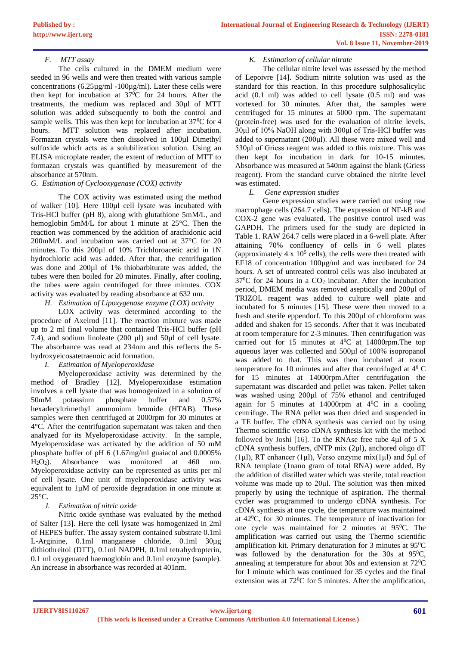# *F. MTT assay*

The cells cultured in the DMEM medium were seeded in 96 wells and were then treated with various sample concentrations (6.25µg/ml -100µg/ml). Later these cells were then kept for incubation at  $37^{\circ}$ C for 24 hours. After the treatments, the medium was replaced and 30µl of MTT solution was added subsequently to both the control and sample wells. This was then kept for incubation at 37<sup>0</sup>C for 4 hours. MTT solution was replaced after incubation. Formazan crystals were then dissolved in 100µl Dimethyl sulfoxide which acts as a solubilization solution. Using an ELISA microplate reader, the extent of reduction of MTT to formazan crystals was quantified by measurement of the absorbance at 570nm.

## *G. Estimation of Cyclooxygenase (COX) activity*

The COX activity was estimated using the method of walker [10]. Here 100µl cell lysate was incubated with Tris-HCl buffer (pH 8), along with glutathione 5mM/L, and hemoglobin 5mM/L for about 1 minute at 25°C. Then the reaction was commenced by the addition of arachidonic acid 200mM/L and incubation was carried out at 37°C for 20 minutes. To this 200 ul of 10% Trichloroacetic acid in 1N hydrochloric acid was added. After that, the centrifugation was done and 200µl of 1% thiobarbiturate was added, the tubes were then boiled for 20 minutes. Finally, after cooling, the tubes were again centrifuged for three minutes. COX activity was evaluated by reading absorbance at 632 nm.

## *H. Estimation of Lipoxygenase enzyme (LOX) activity*

LOX activity was determined according to the procedure of Axelrod [11]. The reaction mixture was made up to 2 ml final volume that contained Tris-HCl buffer (pH 7.4), and sodium linoleate (200 µl) and 50µl of cell lysate. The absorbance was read at 234nm and this reflects the 5 hydroxyeicosatetraenoic acid formation.

# *I. Estimation of Myeloperoxidase*

Myeloperoxidase activity was determined by the method of Bradley [12]. Myeloperoxidase estimation involves a cell lysate that was homogenized in a solution of 50mM potassium phosphate buffer and 0.57% hexadecyltrimethyl ammonium bromide (HTAB). These samples were then centrifuged at 2000rpm for 30 minutes at 4°C. After the centrifugation supernatant was taken and then analyzed for its Myeloperoxidase activity. In the sample, Myeloperoxidase was activated by the addition of 50 mM phosphate buffer of pH 6 (1.67mg/ml guaiacol and 0.0005% H2O2). Absorbance was monitored at 460 nm. Myeloperoxidase activity can be represented as units per ml of cell lysate. One unit of myeloperoxidase activity was equivalent to 1µM of peroxide degradation in one minute at 25°C.

# *J. Estimation of nitric oxide*

Nitric oxide synthase was evaluated by the method of Salter [13]. Here the cell lysate was homogenized in 2ml of HEPES buffer. The assay system contained substrate 0.1ml L-Arginine, 0.1ml manganese chloride, 0.1ml 30µg dithiothreitol (DTT), 0.1ml NADPH, 0.1ml tetrahydropterin, 0.1 ml oxygenated haemoglobin and 0.1ml enzyme (sample). An increase in absorbance was recorded at 401nm.

## *K. Estimation of cellular nitrate*

The cellular nitrite level was assessed by the method of Lepoivre [14]. Sodium nitrite solution was used as the standard for this reaction. In this procedure sulphosalicylic acid (0.1 ml) was added to cell lysate (0.5 ml) and was vortexed for 30 minutes. After that, the samples were centrifuged for 15 minutes at 5000 rpm. The supernatant (protein-free) was used for the evaluation of nitrite levels. 30μl of 10% NaOH along with 300μl of Tris-HCl buffer was added to supernatant (200μl). All these were mixed well and 530μl of Griess reagent was added to this mixture. This was then kept for incubation in dark for 10-15 minutes. Absorbance was measured at 540nm against the blank (Griess reagent). From the standard curve obtained the nitrite level was estimated.

# *L. Gene expression studies*

Gene expression studies were carried out using raw macrophage cells (264.7 cells). The expression of NF-kB and COX-2 gene was evaluated. The positive control used was GAPDH. The primers used for the study are depicted in Table 1. RAW 264.7 cells were placed in a 6-well plate. After attaining 70% confluency of cells in 6 well plates (approximately  $4 \times 10^5$  cells), the cells were then treated with EF18 of concentration 100µg/ml and was incubated for 24 hours. A set of untreated control cells was also incubated at  $37^0C$  for 24 hours in a  $CO<sub>2</sub>$  incubator. After the incubation period, DMEM media was removed aseptically and 200µl of TRIZOL reagent was added to culture well plate and incubated for 5 minutes [15]. These were then moved to a fresh and sterile eppendorf. To this 200µl of chloroform was added and shaken for 15 seconds. After that it was incubated at room temperature for 2-3 minutes. Then centrifugation was carried out for 15 minutes at  $4^0C$  at 14000rpm. The top aqueous layer was collected and 500µl of 100% isopropanol was added to that. This was then incubated at room temperature for 10 minutes and after that centrifuged at  $4^{\circ}$  C for 15 minutes at 14000rpm.After centrifugation the supernatant was discarded and pellet was taken. Pellet taken was washed using 200µl of 75% ethanol and centrifuged again for 5 minutes at 14000rpm at  $4^{\circ}$ C in a cooling centrifuge. The RNA pellet was then dried and suspended in a TE buffer. The cDNA synthesis was carried out by using Thermo scientific verso cDNA synthesis kit with the method followed by Joshi [16]. To the RNAse free tube 4 $\mu$ l of 5 X cDNA synthesis buffers, dNTP mix (2µl), anchored oligo dT (1µl), RT enhancer (1µl), Verso enzyme mix(1µl) and 5μl of RNA template (1nano gram of total RNA) were added. By the addition of distilled water which was sterile, total reaction volume was made up to 20μl. The solution was then mixed properly by using the technique of aspiration. The thermal cycler was programmed to undergo cDNA synthesis. For cDNA synthesis at one cycle, the temperature was maintained at 42<sup>0</sup>C, for 30 minutes. The temperature of inactivation for one cycle was maintained for 2 minutes at 95<sup>0</sup>C. The amplification was carried out using the Thermo scientific amplification kit. Primary denaturation for 3 minutes at  $95^{\circ}$ C was followed by the denaturation for the 30s at  $95^{\circ}$ C, annealing at temperature for about 30s and extension at  $72^{\circ}$ C for 1 minute which was continued for 35 cycles and the final extension was at  $72^{\circ}$ C for 5 minutes. After the amplification,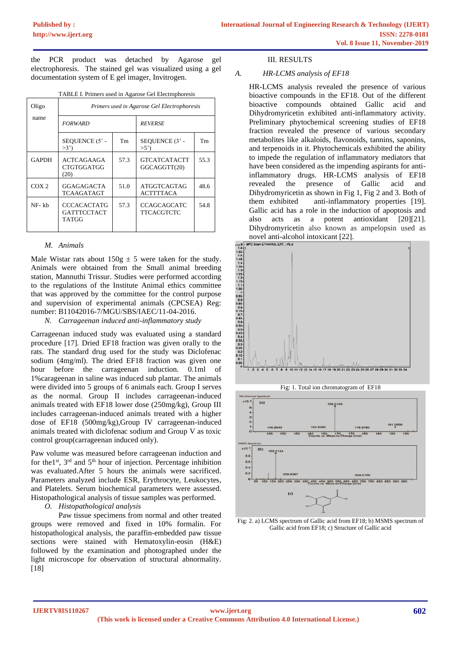the PCR product was detached by Agarose gel electrophoresis. The stained gel was visualized using a gel documentation system of E gel imager, Invitrogen.

|  |  |  |  | TABLE I. Primers used in Agarose Gel Electrophoresis |  |  |  |
|--|--|--|--|------------------------------------------------------|--|--|--|
|--|--|--|--|------------------------------------------------------|--|--|--|

| Oligo<br>name    | Primers used in Agarose Gel Electrophoresis |      |                                         |           |  |  |
|------------------|---------------------------------------------|------|-----------------------------------------|-----------|--|--|
|                  | <b>FORWARD</b>                              |      | <b>REVERSE</b>                          |           |  |  |
|                  | SEQUENCE (5' -<br>>3'                       | Tm   | SEQUENCE (3' -<br>>5'                   | <b>Tm</b> |  |  |
| <b>GAPDH</b>     | <b>ACTCAGAAGA</b><br>CTGTGGATGG<br>(20)     | 57.3 | <b>GTCATCATACTT</b><br>GGCAGGTT(20)     | 55.3      |  |  |
| COX <sub>2</sub> | GGAGAGACTA<br>TCAAGATAGT                    | 51.0 | ATGGTCAGTAG<br><b>ACTTTTACA</b>         | 48.6      |  |  |
| NF-kh            | CCCACACTATG<br>GATTTCCTACT<br>TATGG         | 57.3 | <b>CCAGCAGCATC</b><br><b>TTCACGTCTC</b> | 54.8      |  |  |

#### *M. Animals*

Male Wistar rats about  $150g \pm 5$  were taken for the study. Animals were obtained from the Small animal breeding station, Mannuthi Trissur. Studies were performed according to the regulations of the Institute Animal ethics committee that was approved by the committee for the control purpose and supervision of experimental animals (CPCSEA) Reg: number: B11042016-7/MGU/SBS/IAEC/11-04-2016.

*N. Carrageenan induced anti-inflammatory study*

Carrageenan induced study was evaluated using a standard procedure [17]. Dried EF18 fraction was given orally to the rats. The standard drug used for the study was Diclofenac sodium (4mg/ml). The dried EF18 fraction was given one hour before the carrageenan induction. 0.1ml of 1%carageenan in saline was induced sub plantar. The animals were divided into 5 groups of 6 animals each. Group I serves as the normal. Group II includes carrageenan-induced animals treated with EF18 lower dose (250mg/kg), Group III includes carrageenan-induced animals treated with a higher dose of EF18 (500mg/kg),Group IV carrageenan-induced animals treated with diclofenac sodium and Group V as toxic control group(carrageenan induced only).

Paw volume was measured before carrageenan induction and for the<sup>1st</sup>, 3<sup>rd</sup> and 5<sup>th</sup> hour of injection. Percentage inhibition was evaluated.After 5 hours the animals were sacrificed. Parameters analyzed include ESR, Erythrocyte, Leukocytes, and Platelets. Serum biochemical parameters were assessed. Histopathological analysis of tissue samples was performed.

*O. Histopathological analysis*

Paw tissue specimens from normal and other treated groups were removed and fixed in 10% formalin. For histopathological analysis, the paraffin-embedded paw tissue sections were stained with Hematoxylin-eosin (H&E) followed by the examination and photographed under the light microscope for observation of structural abnormality. [18]

#### III. RESULTS

#### *A. HR-LCMS analysis of EF18*

HR-LCMS analysis revealed the presence of various bioactive compounds in the EF18. Out of the different bioactive compounds obtained Gallic acid and Dihydromyricetin exhibited anti-inflammatory activity. Preliminary phytochemical screening studies of EF18 fraction revealed the presence of various secondary metabolites like alkaloids, flavonoids, tannins, saponins, and terpenoids in it. Phytochemicals exhibited the ability to impede the regulation of inflammatory mediators that have been considered as the impending aspirants for antiinflammatory drugs. HR-LCMS analysis of EF18 revealed the presence of Gallic acid and Dihydromyricetin as shown in Fig 1, Fig 2 and 3. Both of them exhibited anti-inflammatory properties [19]. Gallic acid has a role in the induction of apoptosis and also acts as a potent antioxidant [20][21]. Dihydromyricetin also known as ampelopsin used as





Fig: 2. a) LCMS spectrum of Gallic acid from EF18; b) MSMS spectrum of Gallic acid from EF18; c) Structure of Gallic acid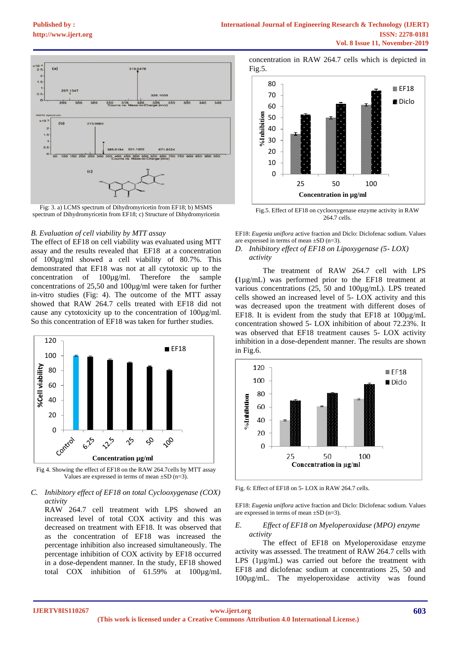

Fig: 3. a) LCMS spectrum of Dihydromyricetin from EF18; b) MSMS spectrum of Dihydromyricetin from EF18; c) Structure of Dihydromyricetin

#### *B. Evaluation of cell viability by MTT assay*

The effect of EF18 on cell viability was evaluated using MTT assay and the results revealed that EF18 at a concentration of 100µg/ml showed a cell viability of 80.7%. This demonstrated that EF18 was not at all cytotoxic up to the concentration of 100µg/ml. Therefore the sample concentrations of 25,50 and 100µg/ml were taken for further in-vitro studies (Fig: 4). The outcome of the MTT assay showed that RAW 264.7 cells treated with EF18 did not cause any cytotoxicity up to the concentration of 100µg/ml. So this concentration of EF18 was taken for further studies.



Fig 4. Showing the effect of EF18 on the RAW 264.7cells by MTT assay Values are expressed in terms of mean  $\pm SD$  (n=3).

#### *C. Inhibitory effect of EF18 on total Cyclooxygenase (COX) activity*

RAW 264.7 cell treatment with LPS showed an increased level of total COX activity and this was decreased on treatment with EF18. It was observed that as the concentration of EF18 was increased the percentage inhibition also increased simultaneously. The percentage inhibition of COX activity by EF18 occurred in a dose-dependent manner. In the study, EF18 showed total COX inhibition of 61.59% at 100µg/mL

concentration in RAW 264.7 cells which is depicted in Fig.5.



Fig.5. Effect of EF18 on cyclooxygenase enzyme activity in RAW 264.7 cells.

EF18: *Eugenia uniflora* active fraction and Diclo: Diclofenac sodium. Values are expressed in terms of mean ±SD (n=3).

## *D. Inhibitory effect of EF18 on Lipoxygenase (5- LOX) activity*

The treatment of RAW 264.7 cell with LPS **(**1µg/mL) was performed prior to the EF18 treatment at various concentrations (25, 50 and 100µg/mL). LPS treated cells showed an increased level of 5- LOX activity and this was decreased upon the treatment with different doses of EF18. It is evident from the study that EF18 at 100µg/mL concentration showed 5- LOX inhibition of about 72.23%. It was observed that EF18 treatment causes 5- LOX activity inhibition in a dose-dependent manner. The results are shown in Fig.6.



Fig. 6: Effect of EF18 on 5- LOX in RAW 264.7 cells.

EF18: *Eugenia uniflora* active fraction and Diclo: Diclofenac sodium. Values are expressed in terms of mean  $\pm SD$  (n=3).

#### *E. Effect of EF18 on Myeloperoxidase (MPO) enzyme activity*

The effect of EF18 on Myeloperoxidase enzyme activity was assessed. The treatment of RAW 264.7 cells with LPS (1µg/mL) was carried out before the treatment with EF18 and diclofenac sodium at concentrations 25, 50 and 100µg/mL. The myeloperoxidase activity was found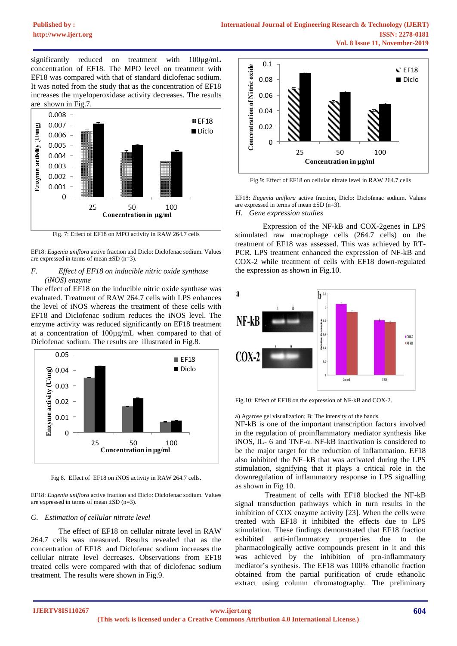significantly reduced on treatment with 100µg/mL concentration of EF18. The MPO level on treatment with EF18 was compared with that of standard diclofenac sodium. It was noted from the study that as the concentration of EF18 increases the myeloperoxidase activity decreases. The results are shown in Fig.7.



Fig. 7: Effect of EF18 on MPO activity in RAW 264.7 cells

EF18: *Eugenia uniflora* active fraction and Diclo: Diclofenac sodium. Values are expressed in terms of mean  $\pm SD$  (n=3).

## *F. Effect of EF18 on inducible nitric oxide synthase (iNOS) enzyme*

The effect of EF18 on the inducible nitric oxide synthase was evaluated. Treatment of RAW 264.7 cells with LPS enhances the level of iNOS whereas the treatment of these cells with EF18 and Diclofenac sodium reduces the iNOS level. The enzyme activity was reduced significantly on EF18 treatment at a concentration of 100µg/mL when compared to that of Diclofenac sodium. The results are illustrated in Fig.8.



Fig 8. Effect of EF18 on iNOS activity in RAW 264.7 cells.

EF18: *Eugenia uniflora* active fraction and Diclo: Diclofenac sodium. Values are expressed in terms of mean  $\pm SD$  (n=3).

#### *G. Estimation of cellular nitrate level*

The effect of EF18 on cellular nitrate level in RAW 264.7 cells was measured. Results revealed that as the concentration of EF18 and Diclofenac sodium increases the cellular nitrate level decreases. Observations from EF18 treated cells were compared with that of diclofenac sodium treatment. The results were shown in Fig.9.



Fig.9: Effect of EF18 on cellular nitrate level in RAW 264.7 cells

EF18: *Eugenia uniflora* active fraction, Diclo: Diclofenac sodium. Values are expressed in terms of mean  $\pm SD$  (n=3). *H. Gene expression studies*

Expression of the NF-kB and COX-2genes in LPS stimulated raw macrophage cells (264.7 cells) on the treatment of EF18 was assessed. This was achieved by RT-PCR. LPS treatment enhanced the expression of NF-kB and COX-2 while treatment of cells with EF18 down-regulated the expression as shown in Fig.10.



Fig.10: Effect of EF18 on the expression of NF-kB and COX-2.

a) Agarose gel visualization; B: The intensity of the bands.

NF-kB is one of the important transcription factors involved in the regulation of proinflammatory mediator synthesis like iNOS, IL- 6 and TNF-α. NF-kB inactivation is considered to be the major target for the reduction of inflammation. EF18 also inhibited the NF–kB that was activated during the LPS stimulation, signifying that it plays a critical role in the downregulation of inflammatory response in LPS signalling as shown in Fig 10.

Treatment of cells with EF18 blocked the NF-kB signal transduction pathways which in turn results in the inhibition of COX enzyme activity [23]. When the cells were treated with EF18 it inhibited the effects due to LPS stimulation. These findings demonstrated that EF18 fraction exhibited anti-inflammatory properties due to the pharmacologically active compounds present in it and this was achieved by the inhibition of pro-inflammatory mediator's synthesis. The EF18 was 100% ethanolic fraction obtained from the partial purification of crude ethanolic extract using column chromatography. The preliminary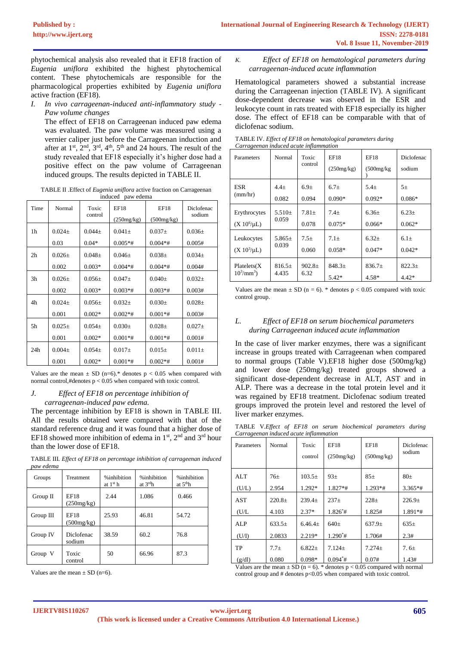phytochemical analysis also revealed that it EF18 fraction of *Eugenia uniflora* exhibited the highest phytochemical content. These phytochemicals are responsible for the pharmacological properties exhibited by *Eugenia uniflora* active fraction (EF18).

*I. In vivo carrageenan-induced anti-inflammatory study - Paw volume changes* 

The effect of EF18 on Carrageenan induced paw edema was evaluated. The paw volume was measured using a vernier caliper just before the Carrageenan induction and after at  $1<sup>st</sup>$ ,  $2<sup>nd</sup>$ ,  $3<sup>rd</sup>$ ,  $4<sup>th</sup>$ ,  $5<sup>th</sup>$  and 24 hours. The result of the study revealed that EF18 especially it's higher dose had a positive effect on the paw volume of Carrageenan induced groups. The results depicted in TABLE II.

TABLE II .Effect of *Eugenia uniflora* active fraction on Carrageenan ...<br>induced <sup>\*</sup> paw edema

| maaca<br>paw cacina |             |                  |             |             |                      |  |  |
|---------------------|-------------|------------------|-------------|-------------|----------------------|--|--|
| Time                | Normal      | Toxic<br>control | EF18        | EF18        | Diclofenac<br>sodium |  |  |
|                     |             |                  | (250mg/kg)  | (500mg/kg)  |                      |  |  |
| 1 <sub>h</sub>      | $0.024 \pm$ | $0.044 \pm$      | $0.041 \pm$ | $0.037\pm$  | $0.036\pm$           |  |  |
|                     | 0.03        | $0.04*$          | $0.005**$ # | $0.004**$   | 0.005#               |  |  |
| 2 <sub>h</sub>      | $0.026 \pm$ | $0.048\pm$       | $0.046 \pm$ | $0.038 \pm$ | $0.034\pm$           |  |  |
|                     | 0.002       | $0.003*$         | $0.004**$ # | $0.004**$ # | 0.004#               |  |  |
| 3 <sub>h</sub>      | $0.026 \pm$ | $0.056\pm$       | $0.047 \pm$ | $0.040 \pm$ | $0.032\pm$           |  |  |
|                     | 0.002       | $0.003*$         | $0.003*$ #  | $0.003**$   | 0.003#               |  |  |
| 4h                  | $0.024 \pm$ | $0.056\pm$       | $0.032 \pm$ | $0.030\pm$  | $0.028 \pm$          |  |  |
|                     | 0.001       | $0.002*$         | $0.002**$   | $0.001**$ # | 0.003#               |  |  |
| 5h                  | $0.025 \pm$ | $0.054\pm$       | $0.030+$    | $0.028 \pm$ | $0.027 \pm$          |  |  |
|                     | 0.001       | $0.002*$         | $0.001**$   | $0.001**$   | 0.001#               |  |  |
| 24h                 | $0.004\pm$  | $0.054\pm$       | $0.017\pm$  | $0.015\pm$  | $0.011 \pm$          |  |  |
|                     | 0.001       | $0.002*$         | $0.001**$   | $0.002**$   | 0.001#               |  |  |

Values are the mean  $\pm$  SD (n=6).\* denotes p < 0.05 when compared with normal control,#denotes p < 0.05 when compared with toxic control.

#### *J. Effect of EF18 on percentage inhibition of carrageenan-induced paw edema.*

The percentage inhibition by EF18 is shown in TABLE III. All the results obtained were compared with that of the standard reference drug and it was found that a higher dose of EF18 showed more inhibition of edema in  $1<sup>st</sup>$ ,  $2<sup>nd</sup>$  and  $3<sup>rd</sup>$  hour than the lower dose of EF18.

TABLE III. *Effect of EF18 on percentage inhibition of carrageenan induced paw edema*

| Groups      | Treatment                 | %inhibition<br>at $1st$ h | %inhibition<br>at $3^{\text{rd}}h$ | %inhibition<br>at $5thh$ |
|-------------|---------------------------|---------------------------|------------------------------------|--------------------------|
| Group $\Pi$ | <b>EF18</b><br>(250mg/kg) | 2.44                      | 1.086                              | 0.466                    |
| Group III   | <b>EF18</b><br>(500mg/kg) | 25.93                     | 46.81                              | 54.72                    |
| Group IV    | Diclofenac<br>sodium      | 38.59                     | 60.2                               | 76.8                     |
| Group V     | Toxic<br>control          | 50                        | 66.96                              | 87.3                     |

Values are the mean  $\pm$  SD (n=6).

# *K. Effect of EF18 on hematological parameters during carrageenan-induced acute inflammation*

Hematological parameters showed a substantial increase during the Carrageenan injection (TABLE IV). A significant dose-dependent decrease was observed in the ESR and leukocyte count in rats treated with EF18 especially its higher dose. The effect of EF18 can be comparable with that of diclofenac sodium.

| TABLE IV. Effect of EF18 on hematological parameters during |
|-------------------------------------------------------------|
| Carrageenan induced acute inflammation                      |

| Parameters           | Normal     | Toxic<br>control | <b>EF18</b><br>(250mg/kg) | <b>EF18</b><br>(500mg/kg) | Diclofenac<br>sodium |
|----------------------|------------|------------------|---------------------------|---------------------------|----------------------|
| ESR                  | $4.4+$     | $6.9+$           | $6.7+$                    | $5.4+$                    | $5+$                 |
| (mm/hr)              | 0.082      | 0.094            | $0.090*$                  | $0.092*$                  | $0.086*$             |
| Erythrocytes         | $5.510+$   | $7.81+$          | $7.4+$                    | $6.36+$                   | $6.23+$              |
| $(X 10^6/\mu L)$     | 0.059      | 0.078            | $0.075*$                  | $0.066*$                  | $0.062*$             |
| Leukocytes           | $5.865\pm$ | $7.5+$           | $7.1+$                    | $6.32+$                   | $6.1+$               |
| $(X 10^3/\mu L)$     | 0.039      | 0.060            | $0.058*$                  | $0.047*$                  | $0.042*$             |
| Platelets(X)         | $816.5+$   | $902.8+$         | $848.3+$                  | $836.7+$                  | $822.3+$             |
| $10^3/\text{mm}^3$ ) | 4.435      | 6.32             | $5.42*$                   | $4.58*$                   | $4.42*$              |

Values are the mean  $\pm$  SD (n = 6). \* denotes p < 0.05 compared with toxic control group.

## *L. Effect of EF18 on serum biochemical parameters during Carrageenan induced acute inflammation*

In the case of liver marker enzymes, there was a significant increase in groups treated with Carrageenan when compared to normal groups (Table V).EF18 higher dose (500mg/kg) and lower dose (250mg/kg) treated groups showed a significant dose-dependent decrease in ALT, AST and in ALP. There was a decrease in the total protein level and it was regained by EF18 treatment. Diclofenac sodium treated groups improved the protein level and restored the level of liver marker enzymes.

TABLE V.*Effect of EF18 on serum biochemical parameters during Carrageenan induced acute inflammation*

| Parameters | Normal   | Toxic<br>control | EF18<br>(250mg/kg) | EF18<br>(500mg/kg) | Diclofenac<br>sodium |
|------------|----------|------------------|--------------------|--------------------|----------------------|
| <b>ALT</b> | $76\pm$  | $103.5+$         | 93 <sub>±</sub>    | $85\pm$            | $80\pm$              |
| (U/L)      | 2.954    | 1.292*           | $1.827**$          | $1.293**$          | $3.365**$            |
| <b>AST</b> | $220.8+$ | $239.4+$         | $237+$             | $228+$             | $226.9+$             |
| (U/L)      | 4.103    | $2.37*$          | $1.826^*$ #        | 1.825#             | 1.891*#              |
| <b>ALP</b> | $633.5+$ | $6.46.4+$        | $640+$             | $637.9+$           | $635+$               |
| (U/I)      | 2.0833   | 2.219*           | $1.290^*$ #        | 1.706#             | 2.3#                 |
| <b>TP</b>  | $7.7 +$  | $6.822 \pm$      | $7.124 \pm$        | $7.274+$           | 7.6 $\pm$            |
| (g/dl)     | 0.080    | $0.098*$         | $0.094^*$ #        | 0.07#              | 1.43#                |

Values are the mean  $\pm$  SD (n = 6). \* denotes p < 0.05 compared with normal control group and # denotes p<0.05 when compared with toxic control.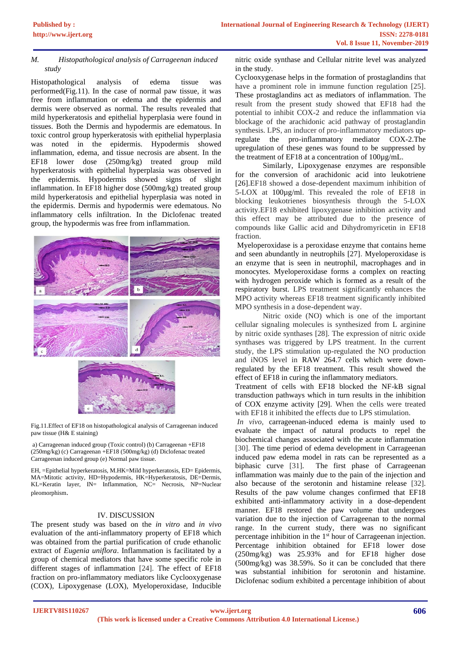## *M. Histopathological analysis of Carrageenan induced study*

Histopathological analysis of edema tissue was performed(Fig.11). In the case of normal paw tissue, it was free from inflammation or edema and the epidermis and dermis were observed as normal. The results revealed that mild hyperkeratosis and epithelial hyperplasia were found in tissues. Both the Dermis and hypodermis are edematous. In toxic control group hyperkeratosis with epithelial hyperplasia was noted in the epidermis. Hypodermis showed inflammation, edema, and tissue necrosis are absent. In the EF18 lower dose (250mg/kg) treated group mild hyperkeratosis with epithelial hyperplasia was observed in the epidermis. Hypodermis showed signs of slight inflammation. In EF18 higher dose (500mg/kg) treated group mild hyperkeratosis and epithelial hyperplasia was noted in the epidermis. Dermis and hypodermis were edematous. No inflammatory cells infiltration. In the Diclofenac treated group, the hypodermis was free from inflammation.



Fig.11.Effect of EF18 on histopathological analysis of Carrageenan induced paw tissue (H& E staining)

a) Carrageenan induced group (Toxic control) (b) Carrageenan +EF18 (250mg/kg) (c) Carrageenan +EF18 (500mg/kg) (d) Diclofenac treated Carrageenan induced group (e) Normal paw tissue.

EH, =Epithelial hyperkeratosis, M.HK=Mild hyperkeratosis, ED= Epidermis, MA=Mitotic activity, HD=Hypodermis, HK=Hyperkeratosis, DE=Dermis, KL=Keratin layer, IN= Inflammation, NC= Necrosis, NP=Nuclear pleomorphism.

# IV. DISCUSSION

The present study was based on the *in vitro* and *in vivo* evaluation of the anti-inflammatory property of EF18 which was obtained from the partial purification of crude ethanolic extract of *Eugenia uniflora*. Inflammation is facilitated by a group of chemical mediators that have some specific role in different stages of inflammation [24]. The effect of EF18 fraction on pro-inflammatory mediators like Cyclooxygenase (COX), Lipoxygenase (LOX), Myeloperoxidase, Inducible nitric oxide synthase and Cellular nitrite level was analyzed in the study.

Cyclooxygenase helps in the formation of prostaglandins that have a prominent role in immune function regulation [25]. These prostaglandins act as mediators of inflammation. The result from the present study showed that EF18 had the potential to inhibit COX-2 and reduce the inflammation via blockage of the arachidonic acid pathway of prostaglandin synthesis. LPS, an inducer of pro-inflammatory mediators upregulate the pro-inflammatory mediator COX-2.The upregulation of these genes was found to be suppressed by the treatment of EF18 at a concentration of 100µg/mL.

Similarly, Lipoxygenase enzymes are responsible for the conversion of arachidonic acid into leukotriene [26].EF18 showed a dose-dependent maximum inhibition of 5-LOX at 100µg/ml. This revealed the role of EF18 in blocking leukotrienes biosynthesis through the 5-LOX activity.EF18 exhibited lipoxygenase inhibition activity and this effect may be attributed due to the presence of compounds like Gallic acid and Dihydromyricetin in EF18 fraction.

Myeloperoxidase is a peroxidase enzyme that contains heme and seen abundantly in neutrophils [27]. Myeloperoxidase is an enzyme that is seen in neutrophil, macrophages and in monocytes. Myeloperoxidase forms a complex on reacting with hydrogen peroxide which is formed as a result of the respiratory burst. LPS treatment significantly enhances the MPO activity whereas EF18 treatment significantly inhibited MPO synthesis in a dose-dependent way.

Nitric oxide (NO) which is one of the important cellular signaling molecules is synthesized from L arginine by nitric oxide synthases [28]. The expression of nitric oxide synthases was triggered by LPS treatment. In the current study, the LPS stimulation up-regulated the NO production and iNOS level in RAW 264.7 cells which were downregulated by the EF18 treatment. This result showed the effect of EF18 in curing the inflammatory mediators.

Treatment of cells with EF18 blocked the NF-kB signal transduction pathways which in turn results in the inhibition of COX enzyme activity [29]. When the cells were treated with EF18 it inhibited the effects due to LPS stimulation.

*In vivo,* carrageenan-induced edema is mainly used to evaluate the impact of natural products to repel the biochemical changes associated with the acute inflammation [30]. The time period of edema development in Carrageenan induced paw edema model in rats can be represented as a biphasic curve [31]. The first phase of Carrageenan inflammation was mainly due to the pain of the injection and also because of the serotonin and histamine release [32]. Results of the paw volume changes confirmed that EF18 exhibited anti-inflammatory activity in a dose-dependent manner. EF18 restored the paw volume that undergoes variation due to the injection of Carrageenan to the normal range. In the current study, there was no significant percentage inhibition in the 1<sup>st</sup> hour of Carrageenan injection. Percentage inhibition obtained for EF18 lower dose (250mg/kg) was 25.93% and for EF18 higher dose (500mg/kg) was 38.59%. So it can be concluded that there was substantial inhibition for serotonin and histamine. Diclofenac sodium exhibited a percentage inhibition of about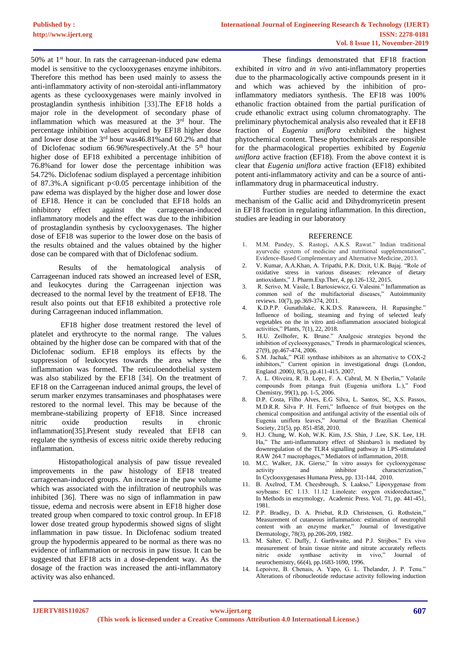50% at  $1<sup>st</sup>$  hour. In rats the carrageenan-induced paw edema model is sensitive to the cyclooxygenases enzyme inhibitors. Therefore this method has been used mainly to assess the anti-inflammatory activity of non-steroidal anti-inflammatory agents as these cyclooxygenases were mainly involved in prostaglandin synthesis inhibition [33].The EF18 holds a major role in the development of secondary phase of inflammation which was measured at the 3<sup>rd</sup> hour. The percentage inhibition values acquired by EF18 higher dose and lower dose at the 3<sup>rd</sup> hour was46.81% and 60.2% and that of Diclofenac sodium 66.96% respectively. At the 5<sup>th</sup> hour higher dose of EF18 exhibited a percentage inhibition of 76.8%and for lower dose the percentage inhibition was 54.72%. Diclofenac sodium displayed a percentage inhibition of 87.3%. A significant  $p<0.05$  percentage inhibition of the paw edema was displayed by the higher dose and lower dose of EF18. Hence it can be concluded that EF18 holds an inhibitory effect against the carrageenan-induced inflammatory models and the effect was due to the inhibition of prostaglandin synthesis by cyclooxygenases. The higher dose of EF18 was superior to the lower dose on the basis of the results obtained and the values obtained by the higher dose can be compared with that of Diclofenac sodium.

Results of the hematological analysis of Carrageenan induced rats showed an increased level of ESR, and leukocytes during the Carrageenan injection was decreased to the normal level by the treatment of EF18. The result also points out that EF18 exhibited a protective role during Carrageenan induced inflammation.

EF18 higher dose treatment restored the level of platelet and erythrocyte to the normal range. The values obtained by the higher dose can be compared with that of the Diclofenac sodium. EF18 employs its effects by the suppression of leukocytes towards the area where the inflammation was formed. The reticuloendothelial system was also stabilized by the EF18 [34]. On the treatment of EF18 on the Carrageenan induced animal groups, the level of serum marker enzymes transaminases and phosphatases were restored to the normal level. This may be because of the membrane-stabilizing property of EF18. Since increased nitric oxide production results in chronic inflammation[35].Present study revealed that EF18 can regulate the synthesis of excess nitric oxide thereby reducing inflammation.

Histopathological analysis of paw tissue revealed improvements in the paw histology of EF18 treated carrageenan-induced groups. An increase in the paw volume which was associated with the infiltration of neutrophils was inhibited [36]. There was no sign of inflammation in paw tissue, edema and necrosis were absent in EF18 higher dose treated group when compared to toxic control group. In EF18 lower dose treated group hypodermis showed signs of slight inflammation in paw tissue. In Diclofenac sodium treated group the hypodermis appeared to be normal as there was no evidence of inflammation or necrosis in paw tissue. It can be suggested that EF18 acts in a dose-dependent way. As the dosage of the fraction was increased the anti-inflammatory activity was also enhanced.

These findings demonstrated that EF18 fraction exhibited *in vitro* and *in vivo* anti-inflammatory properties due to the pharmacologically active compounds present in it and which was achieved by the inhibition of proinflammatory mediators synthesis. The EF18 was 100% ethanolic fraction obtained from the partial purification of crude ethanolic extract using column chromatography. The preliminary phytochemical analysis also revealed that it EF18 fraction of *Eugenia uniflora* exhibited the highest phytochemical content. These phytochemicals are responsible for the pharmacological properties exhibited by *Eugenia uniflora* active fraction (EF18). From the above context it is clear that *Eugenia uniflora* active fraction (EF18) exhibited potent anti-inflammatory activity and can be a source of antiinflammatory drug in pharmaceutical industry.

Further studies are needed to determine the exact mechanism of the Gallic acid and Dihydromyricetin present in EF18 fraction in regulating inflammation. In this direction, studies are leading in our laboratory

#### **REFERENCE**

- 1. M.M. Pandey, S. Rastogi, A.K.S. Rawat." Indian traditional ayurvedic system of medicine and nutritional supplementation", Evidence-Based Complementary and Alternative Medicine, 2013.
- 2. V. Kumar, A.A.Khan, A. Tripathi, P.K. Dixit, U.K. Bajaj. "Role of oxidative stress in various diseases: relevance of dietary antioxidants," J. Pharm.Exp.Ther, 4, pp.126-132, 2015.
- 3. R. Scrivo, M. Vasile, I. Bartosiewicz, G. Valesini." Inflammation as common soil of the multifactorial diseases," Autoimmunity reviews. 10(7), pp.369-374, 2011.
- 4. K.D.P.P. Gunathilake, K.K.D.S. Ranaweera, H. Rupasinghe." Influence of boiling, steaming and frying of selected leafy vegetables on the in vitro anti-inflammation associated biological activities," Plants, 7(1), 22, 2018.
- 5. H.U. Zeilhofer, K. Brune." Analgesic strategies beyond the inhibition of cyclooxygenases," Trends in pharmacological sciences, 27(9), pp.467-474, 2006.
- 6. S.M. Jachak," PGE synthase inhibitors as an alternative to COX-2 inhibitors," Current opinion in investigational drugs (London, England .2000*)*, 8(5), pp.411-415. 2007.
- 7. A. L. Oliveira, R. B. Lope, F. A. Cabral, M. N Eberlin," Volatile compounds from pitanga fruit (Eugenia uniflora L.)," Food Chemistry, 99(1), pp. 1-5, 2006.
- 8. D.P. Costa, Filho Alves, E.G Silva, L. Santos, SC, X.S. Passos, M.D.R.R. Silva P. H. Ferri," Influence of fruit biotypes on the chemical composition and antifungal activity of the essential oils of Eugenia uniflora leaves," Journal of the Brazilian Chemical Society, 21(5), pp. 851-858, 2010.
- 9. H.J. Chung, W. Koh, W.K. Kim, J.S. Shin, J .Lee, S.K. Lee, I.H. Ha," The anti-inflammatory effect of Shinbaro3 is mediated by downregulation of the TLR4 signalling pathway in LPS-stimulated RAW 264.7 macrophages," Mediators of inflammation, 2018.
- 10. M.C. Walker, J.K. Gierse," In vitro assays for cyclooxygenase<br>activity and inhibitor characterization." activity and inhibitor characterization," In Cyclooxygenases Humana Press, pp. 131-144, 2010.
- 11. B. Axelrod, T.M. Cheesbrough, S. Laakso," Lipoxygenase from soybeans: EC 1.13. 11.12 Linoleate: oxygen oxidoreductase," In Methods in enzymology, Academic Press. Vol. 71, pp. 441-451, 1981.
- 12. P.P. Bradley, D. A. Priebat, R.D. Christensen, G. Rothstein," Measurement of cutaneous inflammation: estimation of neutrophil content with an enzyme marker," Journal of Investigative Dermatology, 78(3), pp.206-209, 1982.
- 13. M. Salter, C. Duffy, J. Garthwaite, and P.J. Strijbos." Ex vivo measurement of brain tissue nitrite and nitrate accurately reflects nitric oxide synthase activity in vivo," Journal of neurochemistry, 66(4), pp.1683-1690, 1996.
- 14. Lepoivre, B. Chenais, A. Yapo, G. L. Thelander, J. P. Tenu." Alterations of ribonucleotide reductase activity following induction